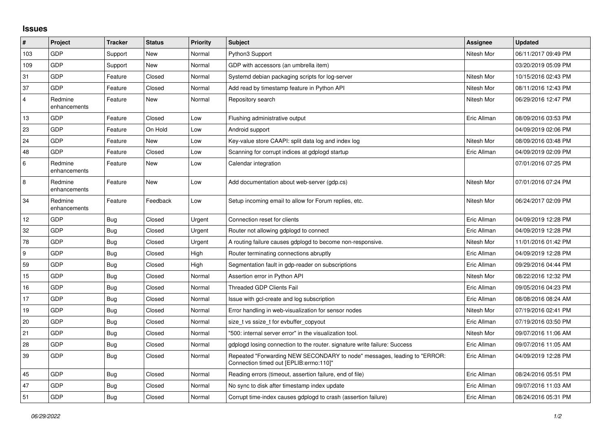## **Issues**

| $\vert$ #      | Project                 | <b>Tracker</b> | <b>Status</b> | <b>Priority</b> | <b>Subject</b>                                                                                                      | <b>Assignee</b> | <b>Updated</b>      |
|----------------|-------------------------|----------------|---------------|-----------------|---------------------------------------------------------------------------------------------------------------------|-----------------|---------------------|
| 103            | GDP                     | Support        | New           | Normal          | Python3 Support                                                                                                     | Nitesh Mor      | 06/11/2017 09:49 PM |
| 109            | GDP                     | Support        | New           | Normal          | GDP with accessors (an umbrella item)                                                                               |                 | 03/20/2019 05:09 PM |
| 31             | GDP                     | Feature        | Closed        | Normal          | Systemd debian packaging scripts for log-server                                                                     | Nitesh Mor      | 10/15/2016 02:43 PM |
| 37             | GDP                     | Feature        | Closed        | Normal          | Add read by timestamp feature in Python API                                                                         | Nitesh Mor      | 08/11/2016 12:43 PM |
| $\overline{4}$ | Redmine<br>enhancements | Feature        | <b>New</b>    | Normal          | Repository search                                                                                                   | Nitesh Mor      | 06/29/2016 12:47 PM |
| 13             | GDP                     | Feature        | Closed        | Low             | Flushing administrative output                                                                                      | Eric Allman     | 08/09/2016 03:53 PM |
| 23             | GDP                     | Feature        | On Hold       | Low             | Android support                                                                                                     |                 | 04/09/2019 02:06 PM |
| 24             | GDP                     | Feature        | New           | Low             | Key-value store CAAPI: split data log and index log                                                                 | Nitesh Mor      | 08/09/2016 03:48 PM |
| 48             | GDP                     | Feature        | Closed        | Low             | Scanning for corrupt indices at gdplogd startup                                                                     | Eric Allman     | 04/09/2019 02:09 PM |
| $\,6\,$        | Redmine<br>enhancements | Feature        | New           | Low             | Calendar integration                                                                                                |                 | 07/01/2016 07:25 PM |
| $\,8\,$        | Redmine<br>enhancements | Feature        | <b>New</b>    | Low             | Add documentation about web-server (gdp.cs)                                                                         | Nitesh Mor      | 07/01/2016 07:24 PM |
| 34             | Redmine<br>enhancements | Feature        | Feedback      | Low             | Setup incoming email to allow for Forum replies, etc.                                                               | Nitesh Mor      | 06/24/2017 02:09 PM |
| 12             | GDP                     | Bug            | Closed        | Urgent          | Connection reset for clients                                                                                        | Eric Allman     | 04/09/2019 12:28 PM |
| 32             | <b>GDP</b>              | <b>Bug</b>     | Closed        | Urgent          | Router not allowing gdplogd to connect                                                                              | Eric Allman     | 04/09/2019 12:28 PM |
| 78             | GDP                     | Bug            | Closed        | Urgent          | A routing failure causes gdplogd to become non-responsive.                                                          | Nitesh Mor      | 11/01/2016 01:42 PM |
| 9              | <b>GDP</b>              | Bug            | Closed        | High            | Router terminating connections abruptly                                                                             | Eric Allman     | 04/09/2019 12:28 PM |
| 59             | <b>GDP</b>              | Bug            | Closed        | High            | Segmentation fault in gdp-reader on subscriptions                                                                   | Eric Allman     | 09/29/2016 04:44 PM |
| 15             | GDP                     | Bug            | Closed        | Normal          | Assertion error in Python API                                                                                       | Nitesh Mor      | 08/22/2016 12:32 PM |
| 16             | GDP                     | Bug            | Closed        | Normal          | <b>Threaded GDP Clients Fail</b>                                                                                    | Eric Allman     | 09/05/2016 04:23 PM |
| 17             | GDP                     | <b>Bug</b>     | Closed        | Normal          | Issue with gcl-create and log subscription                                                                          | Eric Allman     | 08/08/2016 08:24 AM |
| 19             | GDP                     | <b>Bug</b>     | Closed        | Normal          | Error handling in web-visualization for sensor nodes                                                                | Nitesh Mor      | 07/19/2016 02:41 PM |
| 20             | <b>GDP</b>              | Bug            | Closed        | Normal          | size t vs ssize t for evbuffer copyout                                                                              | Eric Allman     | 07/19/2016 03:50 PM |
| 21             | GDP                     | <b>Bug</b>     | Closed        | Normal          | "500: internal server error" in the visualization tool.                                                             | Nitesh Mor      | 09/07/2016 11:06 AM |
| 28             | GDP                     | Bug            | Closed        | Normal          | gdplogd losing connection to the router, signature write failure: Success                                           | Eric Allman     | 09/07/2016 11:05 AM |
| 39             | <b>GDP</b>              | Bug            | Closed        | Normal          | Repeated "Forwarding NEW SECONDARY to node" messages, leading to "ERROR:<br>Connection timed out [EPLIB:errno:110]" | Eric Allman     | 04/09/2019 12:28 PM |
| 45             | GDP                     | <b>Bug</b>     | Closed        | Normal          | Reading errors (timeout, assertion failure, end of file)                                                            | Eric Allman     | 08/24/2016 05:51 PM |
| 47             | GDP                     | Bug            | Closed        | Normal          | No sync to disk after timestamp index update                                                                        | Eric Allman     | 09/07/2016 11:03 AM |
| 51             | <b>GDP</b>              | Bug            | Closed        | Normal          | Corrupt time-index causes gdplogd to crash (assertion failure)                                                      | Eric Allman     | 08/24/2016 05:31 PM |